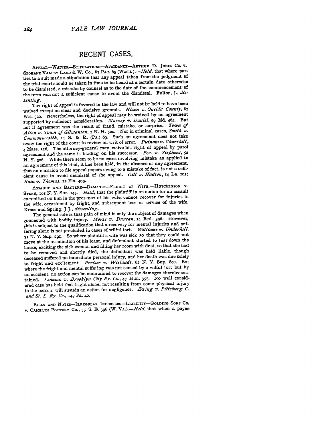## **RECENT CASES.**

APPEAL-WAIVER-STIPULATIONS-AvoIDANCE-ARTHUR **D. JONES Co. v. SPoKANE** VALLEY **LAND &** W. **Co., 87** PAC. **65** *(WASH.).-Held,* that where parties to a suit made a stipulation that any appeal taken from the judgment of the trial court should be taken in time to be heard at a certain date otherwise to be dismissed, a mistake **by** counsel as to the date of the commencement- of the term was not a sufficient cause to avoid the dismissal. Fulton, **J.i** *dissenting.*

The right of appeal is favored in the law and will not be held to have been waived except on clear and decisive grounds. *Hixon 'v. Oneida County,* **<sup>82</sup>** Wis. **520.** Nevertheless, the right **of** appeal may be waived **by** an agreement supported **by** sufficient consideration. *Mackey v. Daniel, 59* **Md.** 484. But not if agreement was the result of fraud, mistake, or surprise. *Town of Alton V'. Town of Gilmanton,* 2 **N.** H. **520.** Nor in criminal cases, *Smith v. Common'w-alth,* 14 **S. &** R. (Pa.) **69.** Such an agreement does not take away the right of the court to review on writ of error. *Putnam v. Churchill,.* **<sup>4</sup>**Mass. 516. The attorney-general may waive his right of appeal **by** parol agreement and the same is binding on his successor. *Peo. v. Steplzens, <sup>52</sup>* **N. Y.** 3o6. While there seem to be no cases involving mistake as applied to an agreement of this kind, it has been held, in the absence of any agreement. that an omission to file appeal papers owing to a mistake of fact, is not a sufficient cause to avoid dismissal of the appeal. *Gill v. Hudson,* **14** La. **203;** *Rain v. Thomas,* **12** Fla. 493.

ASSAULT AND BATTERY-DAMAGES-FRIGHT OF WIFE.-HUTCHINSON V. **STERN, IOI N.** Y. Sup. **145.** *-Held,* that the plaintiff in an action for an assault committed on him in the presence of his wife, cannot recover for injuries to the wife, occasioned **by** fright, and subsequent loss of service of the wife. Kruse and Spring, **J.J.,** *dissenting.*

The general rule is that pain of mind is only the subject of damages when connected with bodily injury. Morse v. Duncan, 14 Fed. 396. However, this is subject to the qualification that a recovery for mental injuries and suffering alone is not precluded in cases of wilful tort. *Williams v. Underhill,* **7 N.** Y. **Sup.** 291. So where plaintiff's wife was sick so that they could not move at the termination of his lease, and defendant started to tear down the house, exciting the sick woman and filling her room with dust, so that she had to be removed and shortly died, the defendant was held liable, though deceased suffered no immediate personal injury, and her death was **due** solely to fright and excitement. *Preiser v. Wielandt,* **62 N.** Y. Sup. **890.** But where the fright and mental suffering was not caused **by** a wilful tort but **by** an accident, no action can be maintained to recover the damages thereby sustained. *Lehman v. Brooklyn City Ry. CO.,* 47 Hun. **355.** No well considered case has held that fright alone, not resulting from some physical injury to the person, will sustain an action fcr negligence. *Ewing v. Pittsburg C. and St. L. Ry. Co.,* **147** Pa. **40.**

BILLS **AND NOTES-IRREGULAR INDORSERs-LIABILITY-GOLDING SONS CO.** V. **CAMER)N POTTEKY** Co., **55 S. E. 396** (W. *VA.).-Held,* that when a payee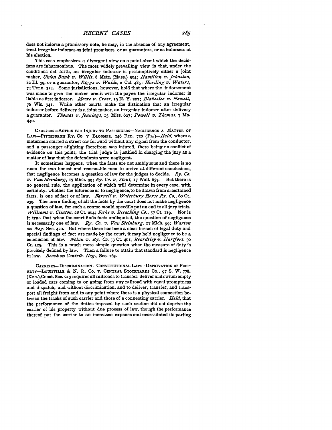This case emphasizes a divergent view on a point about which the decisions are inharmonious. The most widely prevailing view is that, under the conditions set forth, an irregular indorser is presumptively either a joint maker, *Union Bank v. Willis,* 8 Metc. (Mass.) 504; *Hamilton v. Johnston,* 82 Ill. **39,** or a guarantor, *Riggs v. Waldo,* 2 Cal. 485; *Harding v. Waters,* 74 Tenn. 324. Some jurisdictions, however, hold that where the indorsement was made to give the maker credit with the payee the irregular indorser is liable as first indorser. *Moore v. Cross, ig* **N.** Y. **227;** *Blakeslee v,. Hewett,* **76** Wis. 341. While other courts make the distinction that an irregular indorser before delivery is a joint maker, an irregular indorser after delivery a guarantor. *Thomas v. Jennings,* **13** Miss. **627;** *Powell v. Thomas,* 7 **Mo. 440.**

**C.14RtkERS -ACTION FOR** INJURY TO **PASSENGERS-NEGLIGENCE A** MATTER **OF** LAW-PITTSBURGH RY. Co. v. BLOOMER, 146 FED. **720** *(PA.)-Held,* where a motorman started a street car forward without any signal from the conductor, and a passenger alighting therefrom was injured, there being no conflict of evidence on this point, the trial judge is justified in charging the jury as a matter of law that the defendants were negligent.

It sometimes happens, when the facts are not ambiguous and there is no room for two honest and reasonable men to arrive at different conclusions, that negligence becomes a question of law for the judges to decide. *Ry. Co. v. Van Sternburg,* **17** Mich. *99; Ry. Co. v. Stout,* **17** Wall. **657.** But there is no general rule, the application of which will determine in every case, with certainty, whether the inference as to negligence, to be drawn from ascertained facts, is one of fact or of law. *Farrell v. Waterbury Horse Ry. Co,, 6o* Ct. **239.** The mere finding of all the facts **by** the court does not make negligence a question of law, for such a course would speedily put an end to all jury trials. *Williams v. Clinton,* **28 CL** 264; *Fiske v. Bleaching Co.,* **57** Ct. ixg. Nor is it true that when the court finds facts undisputed, the question of negligence is necessarily one of law. *Ry. Co. v. Van Steinburg,* **17** Mich. **99;** *Warton on Neg.* Sec. 420. But where there has been a clear breach of legal duty and special findings of fact are made **by** the court, it may hold negligence to be a conclusion of law. *Nolan v. Ry. Co.* **53** Ct. 461; *Beardsley 71. Hartfort,* **50** Ct. **529.** This is a much more simple question when the measure of duty is precisely defined by law. Then a failure to attain that standard is negligence in law. *Beach on Contrib. Neg.,* See. **x63.**

CARRIERS-DISCRIMINATION-CONSTITUTIONAL LAw-DEPRIVATION **OF** PROP-ERTY-LouISvILLE **& N.** R. **Co.** V. **CENTRAL** STOCKYARDS **CO., 97 S.** W. **778.** (Kas.),Const. Sec. **213** requires all railroads to transfer, deliver and switch empty or loaded cars coming to or going from any railroad with equal promptness and dispatch, and without discrimination, and to deliver, transfer, and transport all freight from and to any point where there is a physical connection between the tracks of such carrier and those of a connecting carrier. *Held,* that the performance of the duties imposed **by** such section did not deprive the carrier of his property without due process of law, though the performance thereof put the carrier to an increased expense and necessitated its parting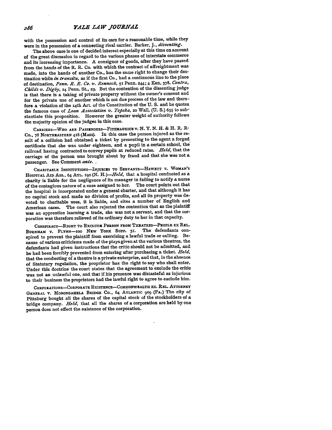with the possession and control of its cars for a reasonable time, while they were in the possession of a connecting rival carrier. Barker, **J.,** *dissenting.*

The above case is one of decided interest especially at this time on account of the great discussion in regard to the various phases of interstate commerce and its increasing importance. **A** consignor of goods, after they have passed from the bands of the R. R. Co. with which the contract of affreightment was made, into the hands of another Co., has the same right to change their destination while *in transitu,* as if the first Co., had a continuous line to the place of destination, *Penn. R. R. Co. v,. Rennock,* **51** Penn. **244;** 4 Kan, **378.** *Contra, Childs v. Digby,* **24** Penn. **St., 23.** But the contention of the dissenting judge is that there is a taking of private property without the owner's consent and for the private use of another which is not due process of the law and therefore a violation of the i4th Art. of the Constitution of the **U. S.** and he quotes the famous case of *Loan Association v. Topeka,* **20** Wall, **(U. S.) 655** to substantiate this proposition. However the greater weight of authority follows the majority opinion of the judges in this case.

CARRIERS-WHO **ARE PASSENGERs-FIT MAURICE** v. **N.** Y. **N.** H. **&** H. R. **R" CO., 78 NORTHEASTERN 418** (MASS). In this case the person injured as the result of a collision had obtained a ticket **by** presenting to the agent a forged certificate that she was under eighteen, and a pupil in a certain school, the railroad having contracted to convey pupils at reduced rates. *Held,* that the carriage of the person was brought about **by** fraud and that she was not a passenger. See Comment *ante.*

**CHARITABLE INSTITUTIONS-INJUEIZS TO** SERVANTS-HEWETT V. **WOMAN'S HOSPITAL AID** Ass., 64 **ATL. 190 (N.** *H.)-Held,* that a hospital conducted as a charity is liable for the negligence of its manager in failing to notify a nurse of the contagious nature of a case assigned to her. The court points out that the hospital is incorporated under a general charter, and that although it has no capital stock and made no division of profits, and all its property was devoted to charitable uses, it is liable, and cites a number of English and American cases. The court also rejected the contention that as the plaintiff was an apprentice learning a trade, she was not a servant, and that the corporation was therefore relieved of its ordinary duty to her in that capacity.

CONSPIRAcY-RIGHT To **EXCLUDE PERSON FROM THEATRES-PEOPLE EX REL.** BURNHAM v. **FLYNN-IO0 NEW** YORK **SuPP. 3r.** The defendants conspired to prevent the plaintiff from exercising a lawful trade or calling. Because of various criticisms made of the plays given at the various theatres, the defendants had given instructions that the critic should not be admitted, and he had been forcibly prevented from entering after purchasing a ticket. *Held,* that the conducting of a theatre is a private enterprise, and that, in the absence of Statutary regulation, the proprietor has the right to say who shall enter. Under this doctrine the court states that the agreement to exclude the critic was not an unlawful one, and that **if** his presence was distasteful as injurious to their business the proprietors had the lawful right to agree to exclude him.

**CORPORATIONS-CORPORATE** EXISTENCE-COMMONWEALTH **Ex.** REL. **ATTORNEY GENERAL** V. MONONGAHELA **BRIDGE** Co., 64 **ATLANTIC 909** (PA.) The city of Pittsburg bought all the shares of the capital stock of the stockholders of a bridge company. *Held,* that all the shares of a corporation are held by one person does not effect the existence of the corporation.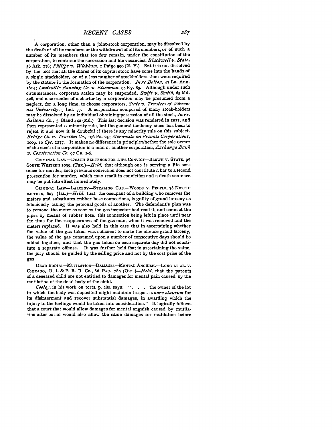A corporation, other than a joint-stock corporation, may be dissolved **by** the death of all its members or the withdrawal of all its members, or of such a number of its members that too few remain, under the constitution of the corporation, to continue the succession and file vacancies, *Blackwell ,. State,* 36 Ark. 178; *PIdli4s v. Wickham, x* Paige **59o (N. Y.)** But it is not dissolved **by** the fact that all the shares of its capital stock have come into the hands of a single stockholder, or of a less number of stockholders than were required **by** the statute in the formation of the corporation. *In re Belton,* 47 La. Ann. *16r4; Louisville Banking Co. v. Eisenman,* 94Ky. **83.** Although under such circumstances, corporate action may be suspended, *Swift v. Smith,* **65 Md. 428,** and a surrender of a charter **by** a corporation may be presumed from a neglect, for a long time, to choose corporators, *State v. Trustees of Vincennes University,* **5** Ind. **77.** A corporation composed of many stock-holders may be dissolved **by** an individual obtaining possession of all the stock, *In re. Bellona Co.,* 3 Bland **442 (Md.)** This last decision was rendered in 1831, and then represented a minority rule, but the general tendency since has been to reject it and now it is doubtful if there is any minority rule on this subject. *Bridge Co. v. Traction Co.,* r96 Pa. **25;** *.4Morawetz on Private Corhorations,* 1009, 10 *Cyc.* 1277. It makes no difference in principlewhether the sole owner of the stock of a corporation is a man or another corporation, *Exchange Bank v. Construction Co.* **97** Ga. 1-6.

**CRIMINAL LAW-DEATH SENTENCE FOR LIFE CONvIcT-BRowN v. STATE, 95** Sourn WESTERN 1039. (TEX.)-Held, that although one is serving a life sentence for murder, such previous conviction does not constitute a bar to a second prosecution for murder, which may result in conviction and a death sentence may be put into effect immediately.

CRIMINAL LAW-LARCENY-STEALING GAS.-WOODS V. PEOPLE, 78 NORTH-**EASTERN, 607** *(ILL.)-Held.* that the occupant of a building who removes the meters and substitutes rubber hose connections, is guilty of grand larceny as feloniously taking the personal goods of another. The defendant's plan was to remove the meter as soon as the gas inspector had read it, and connect the pipes **by** means of rubber hose, this connection being left in place until near the time for the reappearance of the gas man, when it was removed and the meters replaced. It was also held in this case that in ascertaining whether the value of the gas taken was sufficient to make the offense grand larceny, the value of the gas consumed upon a number of consecutive days should be added together, and that the gas taken on each separate day did not constitute a separate offense. It was further held that in ascertaining the value, the jury should be guided **by** the selling price and not **by** the cost price of the gas.

**DEAD BODIES--MUTILATION-DAMAGES-MENTAL ANGUISH.-LONG ET AL.** V. **CHICAGO,** R. **I. &** P. R. R Co., 86 **PAC. 289** *(OrL.)-Held,* that the parents of a deceased child are not entitled to damages for mental pain caused **by** the mutilation of the dead body of the child.

*Cooley,* in his work on torts, **p.** 280, says: *".* the owner of the lot in which the body was deposited might maintain trespass *quare clausum* for its disinterment and recover substantial damages, in awarding which the injury to the feelings would be taken into consideration." It logically follows that a court that would allow damages for mental anguish caused **by** mutilation after burial would also allow the same damages for mutilation before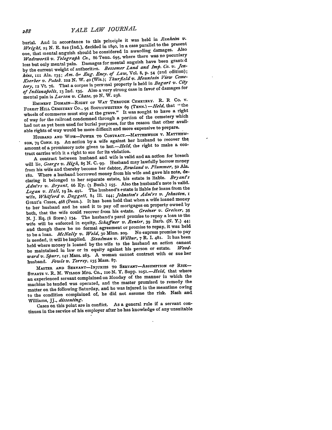burial. And in accordance to this principle it was held in *Renheim v*. *Wright, 25* **N. E. 822** (Ind.), decided in i8go, in a case parallel to the present one, that mental anguish should be considered in awarding damages. Also *Wadsworth v. Telegrafih Co.,* **86** Tenn. **695,** where there was no pecuniary loss but only mental pain. Damages for mental anguish have been grant d **by** the current weight of authorities. *Bessemer Land and Imp. Co. v. Jenkins,* **iix** Ala. I35; *Am. &- Eng. Ency. of Law,* Vol. **8, p.** 54 (2nd edition); *Koerber v. Pateh. 102* **N.** W. 4 o (Wis.); *Thurfield v. Mountain View Cemetery,* **12 Vt. 76.** That a corpse is pers-mal property is held in *Bogart v. City of Indianapolis,* **13** Ind. **135.** Also a very strong case in favor of damages for mental pain is *Larson v. Chase, So* **N.** W. **238.**

**EMINENT DOMAIN-RIGHT OF WAY THROUGH CEMETERY.** R. R Co. v. **FOREST HILL CEMETERY CO.,** 94 **SouT171WESTERN 69 (TENN.)** *-Held,* that "the wheels of commerce must stop at the grave." It was sought to have a right of way for the railroad condemned through a portion of the cemetery which had not as yet been used for burial purposes, for the reason that other available rights of **way** would be more difficult and more expensive to prepare.

**HUSBAND AND WIFE-POwER TO CONTRACT.-MATTHEWSON** V. **MATTHEV-SON, 79 CONN. 23. An** action **by** a wife against her husband to recover **the.** amount of a promissory note given to her. - Held, the right to make a contract carries with it a right to sue for its violation.

A contract between husband and wife is valid and an action for breach will lie, *George v. High, 85* **N. C.. g.** Husband may lawfully borrow money from his wife and thereby become her debtor, *Rowland v. Plummer,* **50** Ala. **182.** Where a husband borrowed money from his wife and gave his note, declaring it belonged to her separate estate, his estate is liable. *Brjyants Adm'rs v. Bryant,* **66 Ky. (3** Bush.) **I55.** Also the husband's note is valid. Logan v. Hall, 19 Ia. 491. The husband's estate is liable for loans from the wife, *Whitford v. Daggett,* 84 Ill. **144;** *Johnston's Adm'rs v. Johnston, <sup>i</sup>* Grant's Cases, **468** (Penn.). It has been held that when a wife loaned money to her husband and he used it to pay off mortgages on property owned **by** both, that the wife could recover from his estate. *Greiner v. Greiner,* **<sup>35</sup> N. J. Eq. (8** Stew.) **i34.** The husband's parol promise to repay a loan to the wife will be enforced in equity, *Schaffner v. Renter,* **39** Barb. **(N.** Y.) **44;** and though there be no formal agreement or promise to repay, it was held to be a loan. *McNally v. Weld,* **30** Minn. **2o9.** No express promise to pay is needed, it will be implied. *Steadman v. Wilbur,* **7** R. **I. 481.** It has been held where money is loaned by the wife to the husband an action cannot be maintained in law or in equity against his person or estate. *ward v. Sfiurr,* **141** Mass. 283. A woman cannot contract with or sue her husband. *Fowle v. Torrey,* **135** Mass. **87.**

MASTER **AND SERVANT-INJURIES TO SERvANT-AssUMPTION OF** RISK-SWARTS V. R. M. WILSON MFG. Co., 100 N. Y. Supp. 1051.-*Held*, that where an experienced servant complained on Monday of the manner in which the machine he tended was operated, and the master promised to remedy the matter on the following Saturday, and he was injured in the meantime owing to the condition complained of, he did not assume the risk. Nash and Williams, JJ., *dissenting.*

Cases on this point are in conflict. As a general rule if a servant continues in the service of his employer after he has knowledge of any unsuitable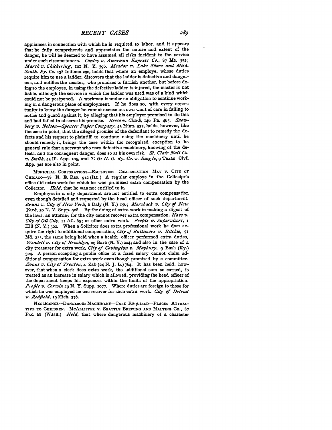appliances in connection with which he is required to labor, and it appears that he fully comprehends and appreciates the nature and extent of the danger, he will be deemed to have assumed all risks incident to the service under such circumstances. *Conley v. American Express Co.*, 87 Me. 352; *Marsh v. Chickering, iox* **N. Y. 396.** *Meador v. Lake Shore and Mich. South. Ry. Co.* **138** Indiana **290,** holds that where an employe, whose duties require him to use a ladder, discovers that the ladder is defective and dangerous, and notifies the master, who promises to furnish another, but before doing so the employee, in using the defective ladder is injured, the master is not liable, although the service in which the ladder was used was of a kind which could not be postponed. **A** workman is under no obligation to continue working in a dangerous place of employment. If he does so, with every opportunity to know the danger he cannot excuse his own want of care in failing to notice and guard against it, **by** alleging that his employer promised to do this and had failed to observe his promise. *Reese v. Clark,* 146 Pa. 465. *Snowberg v. Nelson---Sfencer Pafier Company,* 43 Minn. **532,** holds, however, like the case in point, that the alleged promise of the defendant to remedy the defects and his request to plaintiff to continue using the machinery until he should remedy it. brings the case within **the** recognized exception to he general rule that a servant who uses defective machinery, knowing of the defects, and the consequent danger, does so at his own risk. *St. Clair Nail Co. v. Smith,* 43 **Ill. App. Io5,** and *T. & N. 0. Ry. Co. v. Bingle, 9* Texas Civil **App. 322** are also in point.

MUNICIPAL CORPORATIONS-EMPLOYERS-CMPENSATION-MAY V. **CITY OF** CHICAGO-78 **N. E.** RaP. 912 (ILL.) **A** regular employe in the Collector's office did extra work for which he was promised extra compensation **by** the Collector. *Held,* that he was not entitled to it.

Employes in a city department are not entitled to extra compensation even though detailed and requested **by** the head officer of such department. *Bruns v. City of New York,* **6** Daly **(N.** Y.) **156;** *Merzback v'. City oJ New York,* **30 N.** Y. Supp. **908. By** the doing of extra work in making a digest of the laws, an attorney for the city cannot recover extra compensation. *Hays v. City of Oil City,* **Ivi Atl. 63;** or other extra work. *People v. Sufervisors, i* Hill *(N.* **Y.)** 362. When a Solicitor does extra professional work he does acquire the right to additional compensation, *City of Baltimore v. Ritchie, 51* **Md. 233,** the same being held when a health officer performed extra duties, *Wendell v. City of Brooklyn,* 29 Barb **(N.** Y.) **204;** and also in the case of a city treasurer for extra work, *City of Covington V. Maybury, 9* Bush **(Ky.) 304. A** person accepting a public office at a fixed salary cannot claim additional compensation for extra work even though promised **by** a committee. *Evans v. City of Trenton,* 4 Zab **(24 N. J.** L.) 764. It has been held, however, that when a clerk does extra work, the additional sum so earned, is treated as an increase in salary which is allowed, providing the head officer of the department keeps his expenses within the limits of the appropriation. *P.o~le 2'. Corwin* **29 N.** Y. Supp. **1077.** Where duties are foreign to those for which he was employed he can recover for such extra work. *City of Detroit v. Redjfeld,* **<sup>i</sup> <sup>9</sup>**Mich. **376.**

NEGLIGENCE-DANGEROUS MACHINERY-CARE REQUIRED-PLACES ATTRAC-TIVE **TO** CHILDREN. MCALLISTER V. **SEATTLE** BREWING **AND MALTING** CO., 87 PAC. 68 (WASH.) *Held,* that where dangerous machinery of a character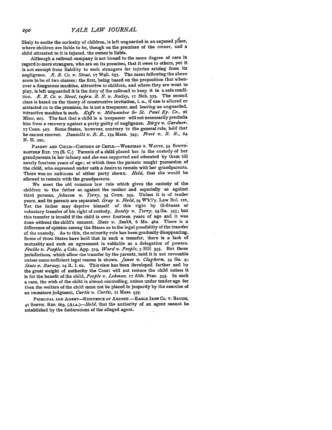likely to excite the curiosity of children, is left unguarded in an exposed place, where children are liable to be, though on the premises of the owner, and **<sup>a</sup>** child attracted to it is injured, the owner is liable.

Although a railroad company is not bound to the same degree of care in regard to mere strangers, who are on its premises, that it owes to others, yet it is not exempt from liability to such strangers for injuries arising from its negligence. *R. R. Co. v.* Stout, **I7** Wall. **657.** The cases following the above seem to be of two classes; the first, being based on the proposition that whenever a dangerous machine, attractive to children, and where they are wont to play, is left unguarded it is the duty of the railroad to keep it in a safe condition. *R. R. Co. v. Stout, supra. R. R. v. Bailey*, **x** Neb. 333. The second class is based on the theory of constructive invitation, i. e., if one is allured or attracted cn to the premises, he is not a trespasser, and leaving an unguarded, attractive machine is such. *KIefe v. Milwaukee &- St. Paul Ry. Co.,* <sup>21</sup> Minn, **207.** The fact that a child is a trespasser willnot necessarily preclude him from a recovery against a party guilty of negligence. *Birge v. Gardner,* **17 Conn. 507.** Some States, however, contrary to the general rule, hold that he cannot recover. *Daniells v. R. R.,* 154 Mass. 349; *Frost v'. R. R., 64* **N.** H. **220.**

PARENT AND CHILD-CUSTODY OF CHILD.-WORKMAN V. WATTS, 54 SOUTH-**EASTERN** REP. 775 **(S. C.)** Parents of a child placed her in the custody of her grandparents in her infancy and she was supported and educated **by** them till nearly fourteen years of age; at which time the parents sought possession of the child, who expressed under oath a desire to remain with her grandparents. There was no unfitness of either party shown. *Held,* that she would be allowed to remain with the grandparents.

We meet the old common law rule which gives the custody of the children to the father as against the mother and especially as against third persons, *Johnson v. Terry,* 34 Conn. **395.** Unless it is of tender years, and its parents are separated. *Gray vi. Field,* **19** W'k'l'y. Law Bul. **121.** Yet the father may deprive himself of this right **by** ill-fitness or voluntary transfer of his right of custody, *Bently v. Terry,* **59** Ga. 555; but this transfer is invalid if the child is over fourteen years of age and it was done without the child's consent. *State v. Smith, 6* Me. 462. There is a difference of opinion among the States as to the legal possibility of the transfer of the custody. As to this, the minority rule has been gradually disappearing. Some of those States have held that in such a transfer, there is a lack of mutuality and such an agreement is voidable as a delegation of powers. *Foulke v,. Peofile,* 4 **Colo. App.** 5i9, *Ward v,. Peofile,* **3** Hill **395.** But those jurisdictions, which allow the transfer **by** the parents, hold it is not revocable unless some sufficient legal reason is shown. *Janes v. Cleghorn,* 54 Ga. **9;** *State v. Barney,* **14** R. **I. 62.** Thisview has been developed farther and **by** the great weight of authority the Court will not restore the child unless it is for the benefit of the child, *People v. Lohman*, 17 Abb. Prac. 395. In such a case, the wish of the child is almost controlling, unless under tender age **for** then the welfare of the child must not be placed in jeopardy **by** the exercise of an immature judgment, *Curtis v. Curtis,* **71** Mass. **535.**

PRINCIPAL AND AGENT-EXISTENCE OF AGENCY.-EAGLE IRON Co. v. BAUGH, **41 SOUTH. REP.** 6b3. *(ALA.)-Held,* that the authority of an agent cannot be established **by** the declarations of the alleged agent.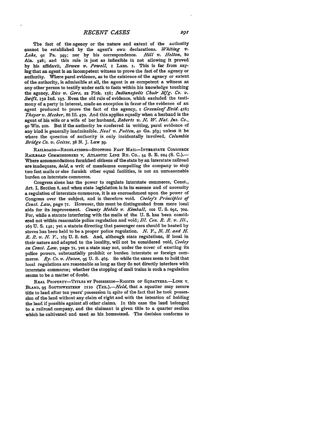The fact of the agency or the nature and extent of the authority cannot be established by the agent's own declarations. *Whiting v. Lake,* **91** Pa. 349; nor **by** his correspondence. *Hill v. Helton, 8o* Ala. 528; and this rule is just as inflexible in not allowing it proved **by** his affidavit, *Bowen v. Powell, x* Lans. **I.** This is far from saying that an agent is an incompetent witness to prove the fact of the agency or authority. Where parol evidence, as to the existence of the agency or extent of the authority, is admissible at all, the agent is as competent a witness as any other person to testify under oath to facts within his knowledge touching the agency, *Rice v. Gore,* **22** Pick. i58; *Indianafiolis Chair Mfg. Co. v. Swift,* **132** Ind. **197.** Even the old rule of evidence, which excluded the testimony of a party in interest, made an exception in favor of the evidence of an agent produced to prove the fact of the agency, *I Greenleaf Evid.* 416; *Thayer v. Meeker, 86* **Ill.** 470. And this applies equally when a husband is the agent of his wife or a wife of her husband, *Roberts v. N. W. Nat. Ins. Co.,* **90** Wis. **21o.** But **if** the authority be conferred in writing, parol evidence of any kind is generally inadmissible. *Neal v. Patten,* **40** Ga. **363;** unless it be where the question of authority is only incidentally involved, *Columbia Bridge Co. v. Geisse,* **38 N. J.** Law **39.**

**RAILROADS-REGULATIONS-STOPPING FAST MAIL-INTRSTATE COMMERCE** RAILROAD COMMISSIONERS **V,** ATLANTIC **LINE** Ry. Co., **54 S. E. 224 (S. C.).-** Where accommodations furnished citizens of the state **by** an interstate railroad are inadequate, *held,* a writ of mandamus compelling the company to stop two fast mails or else furnish other equal facilities, is not an unreasonable burden on interstate commerce.

Congress alone has the power to regulate interstate commerce, Const., Art. I, Section **8,** and when state legislation is in its essence and of necessity a regulation of interstate commerce, it is an encroachment upon the power of Congress over the subject, and is therefore void. *Cooleys Princifiles of Const. Law,* page 7r. However, this must be distinguished from mere local aids for its improvement. *County Mobile v. Kimball,* **102 U. S.** 691, **702.** For, while a statute interfering with the mails of the **U. S.** has been considered not within reasonable police regulation and void; *Ill. Cen. R. R. v. Ill.,* <sup>163</sup>**U. S.** 142; yet a statute directing that passenger cars should **be** heated **by** stoves has been held to be a proper police regulation. *N. Y., N. H. and H. R. R. v. N. Y.,* **x65 U. S. 628.** And, although state regulations, if local in their nature and adapted to the locality, will not be considered void, *Cooley on Const. Law,* page **71,** yet a state may not, under the cover of exerting its police powers. substantially prohibit or burden interstate or foreign commerce. *Ry. Co. v. Husen*, 95 U. S. 465. So while the cases seem to hold that local regulations are reasonable as long as they do not directly interfere with interstate commerce; whether the stopping of mail trains is such a regulation seems to be a matter of doubt.

**REAL PROPERTY-TITLES BY PosSEssION-RIGHTS OF SQUATTERS.-LINK** V. **BLAND, 95 SOUTHWESTERN 1iio** *(TEx.).-Held,* that a squatter **may** secure title to land after ten years' possession in spite of the fact that he took possession of the land without any claim of right and with the intention of holding the land if possible against all other claims. In this case the land belonged to a railroad company, and the claimant is given title to a quarter section which he cultivated and used as his homestead. The decision conforms to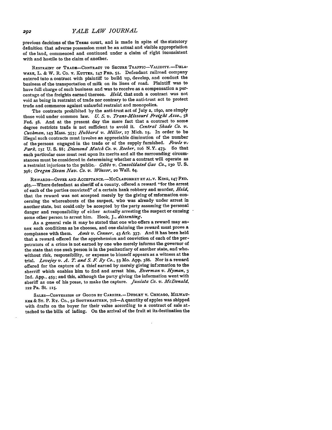previous decisions of the Texas court, and is made in spite of the statutory definition that adverse possession must be an actual and visible appropriation of the land, commenced and continued under a claim of right inconsistent with and hostile to the claim of another.

RESTRAINT **OF** TRADE-CONTRACT **TO SECURE** TRAFFIC-VALIDITY.-DELA-WARE, L. **&** W. R. Co. v. KUTrZR, **147 FED. 5<sup>r</sup> .** Defendant railroad company entered into a contract with plaintiff to build up, develop, and conduct the business of the transportation of milk on its lines of road. Plaintiff was to have full charge of such business and was to receive as a compensation a percentage of the freights earned thereon. *Held,* that such a contract was not void as being in restraint of trade nor contrary to the anti-trust act to protect trade and commerce against unlawful restraint and monopolies.

The contracts prohibited **by** the anti-trust act **of July 2,** 189o, are simply those void under common law. *U. S. v. Trans-Missouri Freight Asso.,* **<sup>58</sup>** Fed. **58.** And at the present day the mere fact that a contract to some degree restricts trade is not sufficient to avoid it. *Central Shade Co. v. Cushman,* **143** Mass. **353;** *Hubbard v. Miller,* **27** Mich. **I5.** In order to be illegal such contracts must involve an appreciable diminution of the number of the persons engaged in the trade or of the supply furnished. *Fowle v, Park,* **131 U. S. 88;** *Diamond Match Co. v. Roeber,* xo6 N.Y. 473. So that each particular case must rest upon its merits and all the surrounding circumstances must be considered in determining whether a contract will operate as a restraint injurious to the public.- *Gibbs v. Consolidated Gas Co.,* **130** *U. S.* 396; *Oregon Steam Nav. Co. v. Winsor*, 20 Wall. 64.

**REWARDS-OFFER AND ACCEFTANCE.-MCCLAUGHREY ET AL.V. KING, 147 FED.** 463.-Where defendant as sheriff of a county, offered a reward "for the arrest of each of the parties convicted" of a certain bank robbery and murder, *Held,* that the reward was not accepted merely **by** the giving of information concerning the whereabouts of the suspect, who was already under arrest in acother state, but could only be accepted **by** the party assuming the personal danger and responsibility of either actually arresting the suspect or causing some other person to arrest him. Hook, **J.,** *dissenting.*

As a general rule it may **be** stated that one who offers a reward may annex such conditions as he chooses, and one claiming the reward must prove a compliance with them. *Amis v. Conner,* 43 Ark. **337.** And it has been held that a reward offered for the apprehension and conviction of each of the perpetrators of a crime is not earned **by** one who merely informs the governor of the state that one such person is in the penitentiary of another state, and who, without risk, responsibility, or expense to himself appears as a witness at the trial. *Lovejoy v. A. T. and* **S.** *F Ry* **Co.,** 53 Mo. App. **386.** Nor is a reward offered for the capture of a thief earned **by** merely giving information to the sherriff which enables him to find and arrest him, *Everman v. Hyman, 3* Ind. **App.,** 459; and this, although the party giving the information went with sheriff as one of his posse, to make the capture. *Juniata Co.* v. *McDonald,* **122** Pa. St. **115.**

SALES-CONVERSION OF GOODS BY CARRIER.- DUDLEY V. CHICAGO, MILWAU-**KEE & ST.** P. Ry. **Co., 52 SOUTHEASTERN,** 718-A quantity of apples was shipped with drafts on the buyer for their value according to a contract of sale attached to the bills of lading. On the arrival of the fruit at its destination the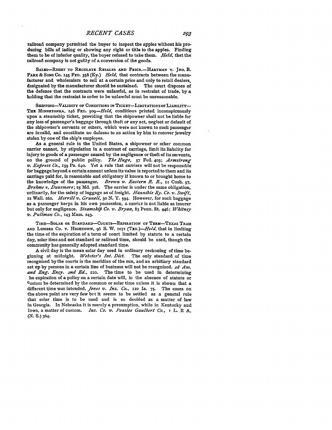railroad company permitted the buyer to inspect the apples without his producing bills of lading or showing any right or title to the apples. Finding them to be of inferior quality, the buyer refused to take them. *Held,* that the railroad company is not guilty of a conversion of the goods.

SALES-RIGHT TO REGULATE RESALES AND PRICE.-HARTMAN v. JNO. B. **PARK & SoNs Co.** 145 **FED.** 358 **(Ky.)** *Held,* that contracts between the manufacturer and wholesalers to sell at a certain price and only to retail dealers, designated **by** the manufacturer should be sustained. The court disposes of the defense that the contracts were unlawful, as in restraint of trade, **by** a holding that the restraint in order to be unlawful must be unreasonable.

SHIPPING-VALIDITY OF CONDITIONS IN TICKET-LIMITATIONS OF LIABILITY-THE MINNETONKA, 146 FED. 509-Held, conditions printed inconspicuously upon a steamship ticket, providing that the shipowner shall not be liable for any loss of passenger's baggage through theft or any act, neglect or default of the shipowner's servants or others, which were not known to such passenger are invalid, and constitute no defeuse to an action by him to recover jewelry stolen **by** one of the ship's employes.

As a general rule in the United States, a shipowner or other common carrier cannot, **by** stipulation in a contract of carriage, limit its liability for injury to goods of a passenger caused **by** the negligence or theft of its seivants, on the ground of public policy. *The Hugo,* **57** Fed. **403;** *Armstrong v. Exfiress Co.,* **159** Pa. **640.** Yet a rule that carriers will not be responsible for baggage beyond a certain amount unless its value is reported to them and its carriage paid for, is reasonable and obligatory if known to or brought home to the knowledge of the passenger. *Brown v. Eastern R. R., It* Cush. **97,** *Brehme v. Dunsmore;* **25 Md. 328.** The carrier is under the same obligation, ordinarily, for the safety of luggage as **of** freight. *Hannible Ry. Co. v. Swift,* **<sup>12</sup>**Wall. **262.** *Mierrill v. Grunell, 3o* **N.** Y. **594.** However, for such baggage as a passenger keeps in his own possession, a carrier is **not** liable as insurer but only for negligence. *Steamshifi Co. z,. Bryan,* 83 Penn. St. 446; *Whitney v. Pullman Co.,* **143** Mass. **243.**

**TIME-SoLAR OR STANDARD-COURTS-EXPIRATION OF TERM-TEXAS TRAM AND** LUMBER **CO.** v. **HIGHTOWN, 96 S.** W. **1071** *(Txx.)-He/d,* that in limiting the time of the expiration of a term of court limited **by** statute to a certain day, solar time and not standard or railroad time, should be used, though the community has generally adopted standard time.

A civil day is the mean solar day used in ordinary reckoning of time beginning at midnight. *Webster's Int. Dict.* The only standard of time recognized **by** the courts is the meridian of the sun, and an arbitiary standard set up **by** persons in a certain line of business will not be recognized. *2o Am. and Eng. Ency. 2nd Ed.,* 21o. The time to be used in determining he expiration of a policy on a certain date will, in the absence of statute or Custom be determined **by** the common or solar time unless it is shown that a different time was intended. *Jones v. Ins. Co.,* **110 Ia. 75.** The cases on the above point are very few but it seems to be settled as a general rule that solar time is to be used and is so decided as a matter of law in Georgia. In Nebraska it is merely a presumption, while in Kentucky and Iowa, a matter of custom. *Ins. Co. v. Peaslee Gaulbert Co.,* **i** L. R **A.** (N. **S.)** 364.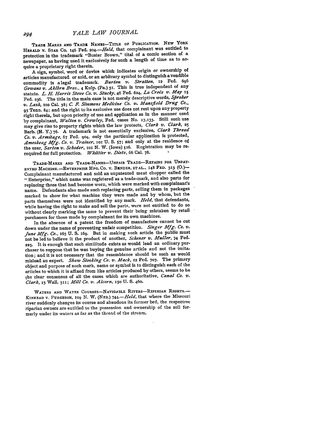TRADE MARKS **AND TRADE NAMES-TITLE OF PUBLICATION. NEW YORK** HERALD V. STAR Co. 146 Fed. 204. - Held, that complainant was entitled to protection in the trademark "Buster Brown," tital of a comic section of a newspaper, as having used it exclusively for such a length of time as to acquire a proprietary right therein.

**A** sign, symbol, word or device which indicates origin or ownership of articles manufactured or sold, or an arbitrary symbol to distinguish avendible commodity is alegal trademark. *Burton v. Stratton,* **12** Fed. **<sup>696</sup>** *Gowans v. Aklbrn Bros.*, 4 Kulp. (Pa.) 31. This is true independent of any statute. *L. H. Harris Stove Co. v. Stucky,* 46 Fed. **624,** *La Croix v. May <sup>15</sup>* Fed. 236. The title in the main case is not merely descriptive words, Spreker *v. Lash,* **102** Cal. **38;** *C. F Simmons Medicine Co. v. Mansfleld Drug Co.,* **<sup>93</sup>**Tenn. 84; and the right to its exclusive use does not rest upon any property right therein, but upon priority of use and application as in the manner used **by** complainant, *Walton v. Crowley,* Fed. cases No. **17,133.** Still such use may give rise to property rights which the law protects, *Clark v. Clark, 25* Barb. **(N. Y.) 76. A** trademark is not essentially exclusive, *Clark Thread Co. v. Armitage,* **67** Fed. **9o4,** only the particular application is protected, *Amoskeag Mfg. Co. v. Trainer,* ioi **U. S. 57;** and only at **the** residence **of.** the user, *Sarton v. Schoder*, **101 N. W.** (Iowa) 516. Registration may be rerequired for full protection. *Whittier v. Dietz,* **66** Cal. **78.**

**TRADE-MARKS AND TRADE-NAMES-UNFAIR TRADE-REPAIRS FOR UNPAT-ENTED MACIIINE.-ENTERPRISE MFG. CO. v. BENDER, ETAL.. 148 FED. 313 (0.)-** Complainant manufactured and sold an unpatented meat chopper called the **',** Enterprise," which name was registered'as a trade-mark, and also parts for replacing those that had become worn, which were marked with complainant's name. Defendants also made such replacing parts, selling them in packages marked to show for what machine they were made and **by** whom, but the parts themselves were not identified **by** any mark. *Held,* that defendants, while having the right to make and sell the parts, were not entitled to do so without clearly marking the same to prevent their being mistaken **by** retail purchasers for those made **by** complainant for its own machines.

In the absence of a patent the freedom of manufacture cannot be cut down under the name of preventing unfair competition. *Singer Mfg. Co. v. June Mfg. Co.,* **163 U. S.** x6g. But in making such article the public must **not be** led to believe it the product of another, *Schener v. Muller,* 74 Fed. **225.** It **is enough that such similitude exists** as would lead an ordinary purchaser to suppose that he was buying the genuine article and not the imitation; and it is not necessary that the resemblance should be such as would mislead an expert. *Shaw Stocking Co. v. Mack,* **12** Fed. **707.** The primsry object and purpose of such mark, name or symbol is to distinguish each of the articles to which it is affixed from like articles produced **by** others, seems to be the clear consensus of all the cases which are authoritative, *Canal Co. V. Clark,* **i3** Wall. **311;** *Mill Co. v. Alcorn.* **150 U. S. 460.**

WATERS AND WATER COURSES-NAVIGABLE RIVERS-RIPERIAN RIGHTS.-**KINKEAD v. FURGESON, IO9 N.** W. **(NEB.)** *<sup>7</sup> <sup>4</sup> <sup>4</sup> .- Held,* that where the Missouri river suddenly changes its **course and** abandons **its** former bed, **the** rcspective riparian owners are entitled to the possession and ownership of the soil formerly under its waters as far as the thread of the stream.